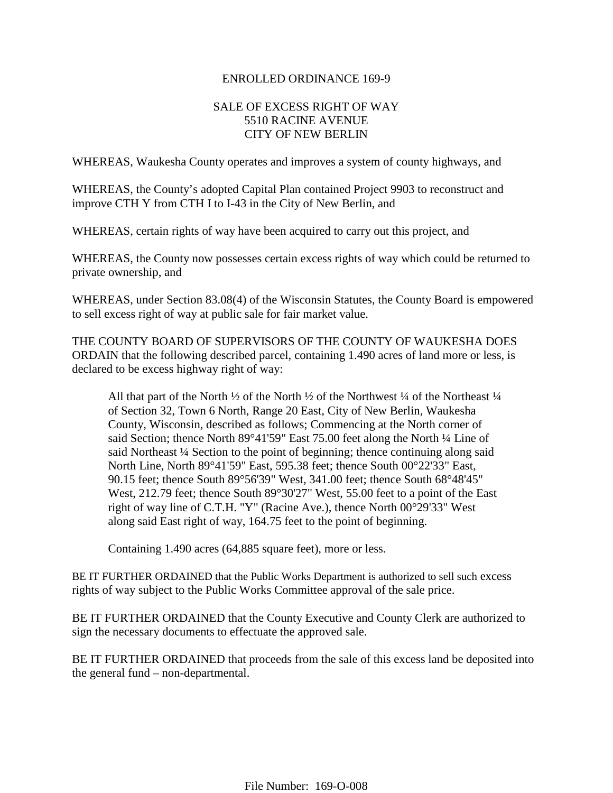#### ENROLLED ORDINANCE 169-9

## SALE OF EXCESS RIGHT OF WAY 5510 RACINE AVENUE CITY OF NEW BERLIN

WHEREAS, Waukesha County operates and improves a system of county highways, and

WHEREAS, the County's adopted Capital Plan contained Project 9903 to reconstruct and improve CTH Y from CTH I to I-43 in the City of New Berlin, and

WHEREAS, certain rights of way have been acquired to carry out this project, and

WHEREAS, the County now possesses certain excess rights of way which could be returned to private ownership, and

WHEREAS, under Section 83.08(4) of the Wisconsin Statutes, the County Board is empowered to sell excess right of way at public sale for fair market value.

THE COUNTY BOARD OF SUPERVISORS OF THE COUNTY OF WAUKESHA DOES ORDAIN that the following described parcel, containing 1.490 acres of land more or less, is declared to be excess highway right of way:

All that part of the North  $\frac{1}{2}$  of the North  $\frac{1}{2}$  of the Northwest  $\frac{1}{4}$  of the Northeast  $\frac{1}{4}$ of Section 32, Town 6 North, Range 20 East, City of New Berlin, Waukesha County, Wisconsin, described as follows; Commencing at the North corner of said Section; thence North 89°41'59" East 75.00 feet along the North ¼ Line of said Northeast ¼ Section to the point of beginning; thence continuing along said North Line, North 89°41'59" East, 595.38 feet; thence South 00°22'33" East, 90.15 feet; thence South 89°56'39" West, 341.00 feet; thence South 68°48'45" West, 212.79 feet; thence South 89°30'27" West, 55.00 feet to a point of the East right of way line of C.T.H. "Y" (Racine Ave.), thence North 00°29'33" West along said East right of way, 164.75 feet to the point of beginning.

Containing 1.490 acres (64,885 square feet), more or less.

BE IT FURTHER ORDAINED that the Public Works Department is authorized to sell such excess rights of way subject to the Public Works Committee approval of the sale price.

BE IT FURTHER ORDAINED that the County Executive and County Clerk are authorized to sign the necessary documents to effectuate the approved sale.

BE IT FURTHER ORDAINED that proceeds from the sale of this excess land be deposited into the general fund – non-departmental.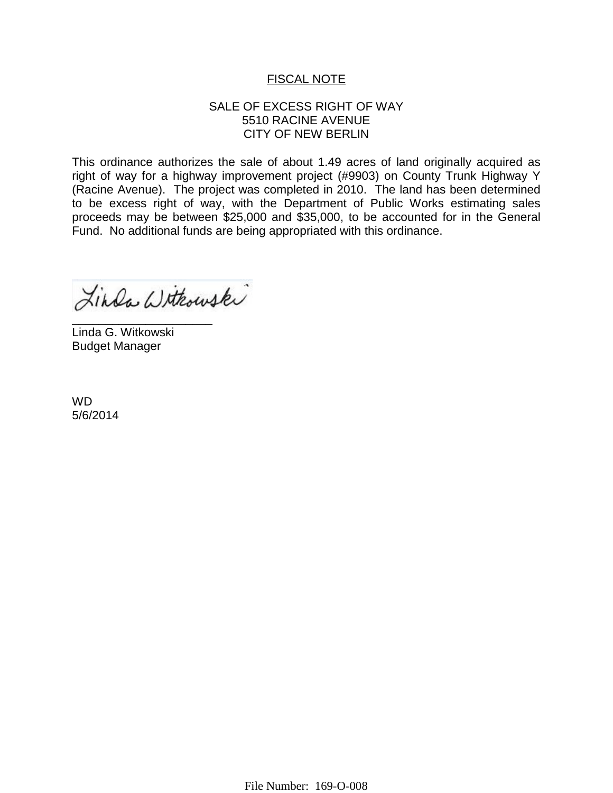# FISCAL NOTE

## SALE OF EXCESS RIGHT OF WAY 5510 RACINE AVENUE CITY OF NEW BERLIN

This ordinance authorizes the sale of about 1.49 acres of land originally acquired as right of way for a highway improvement project (#9903) on County Trunk Highway Y (Racine Avenue). The project was completed in 2010. The land has been determined to be excess right of way, with the Department of Public Works estimating sales proceeds may be between \$25,000 and \$35,000, to be accounted for in the General Fund. No additional funds are being appropriated with this ordinance.

Linda Withouski

\_\_\_\_\_\_\_\_\_\_\_\_\_\_\_\_\_\_\_\_\_ Linda G. Witkowski Budget Manager

WD 5/6/2014

File Number: 169-O-008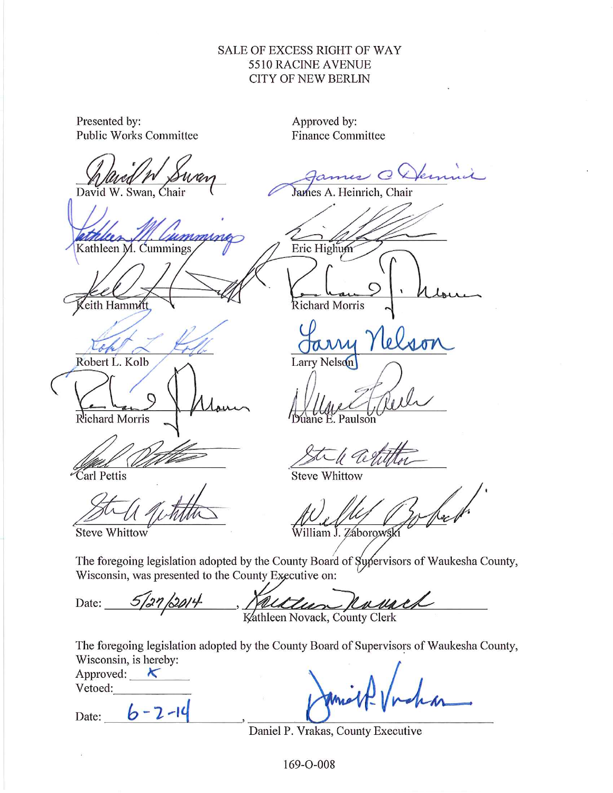# SALE OF EXCESS RIGHT OF WAY 5510 RACINE AVENUE **CITY OF NEW BERLIN**

| Presented by:<br><b>Public Works Committee</b>                                                                                                   | Approved by:<br><b>Finance Committee</b>                                                                 |  |  |  |  |  |
|--------------------------------------------------------------------------------------------------------------------------------------------------|----------------------------------------------------------------------------------------------------------|--|--|--|--|--|
| David W. Swan, Chair<br>Kathleen M. Cummings<br>eith Hammitt<br>Robert L. Kolb                                                                   | mus CDem<br>James A. Heinrich, Chair<br>Eric Highum<br>Richard Morris<br>y Nelson<br>av<br>Larry Nelson  |  |  |  |  |  |
| Richard Morris                                                                                                                                   | Paulson                                                                                                  |  |  |  |  |  |
| Carl Pettis                                                                                                                                      | -le Cestiti<br><b>Steve Whittow</b>                                                                      |  |  |  |  |  |
| <b>Steve Whittow</b>                                                                                                                             | William J. Zaborowsk                                                                                     |  |  |  |  |  |
| The foregoing legislation adopted by the County Board of Sypervisors of Waukesha County,<br>Wisconsin, was presented to the County Executive on: |                                                                                                          |  |  |  |  |  |
| Date: 5/27/2014, Kalter Novack, County Clerk                                                                                                     |                                                                                                          |  |  |  |  |  |
| Wisconsin, is hereby:<br>Approved: $\mathcal{K}$<br>Vetoed:<br>Date: $6 - 2 - 14$                                                                | The foregoing legislation adopted by the County Board of Supervisors of Waukesha County,<br>Daniel Vocha |  |  |  |  |  |
|                                                                                                                                                  | Daniel P. Vrakas, County Executive                                                                       |  |  |  |  |  |

169-O-008

 $\overline{M}$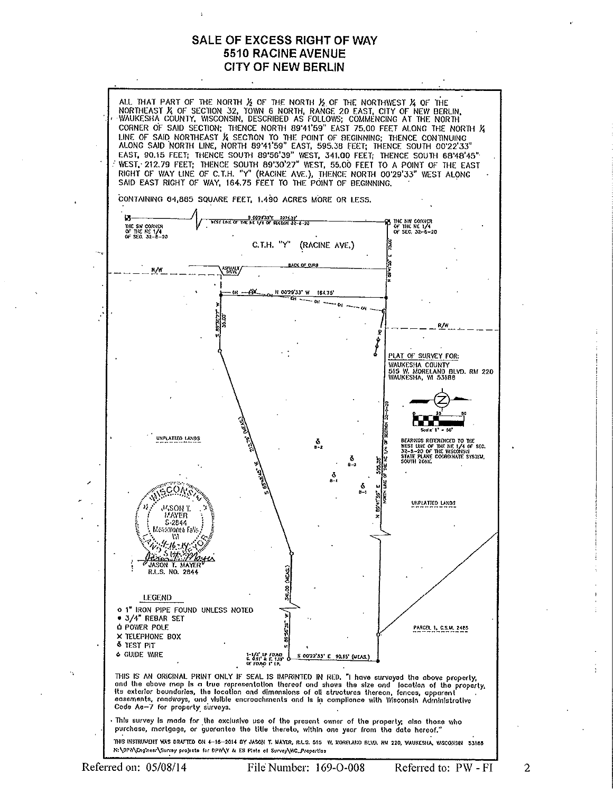#### **SALE OF EXCESS RIGHT OF WAY 5510 RACINE AVENUE CITY OF NEW BERLIN**



٠.

 $\overline{2}$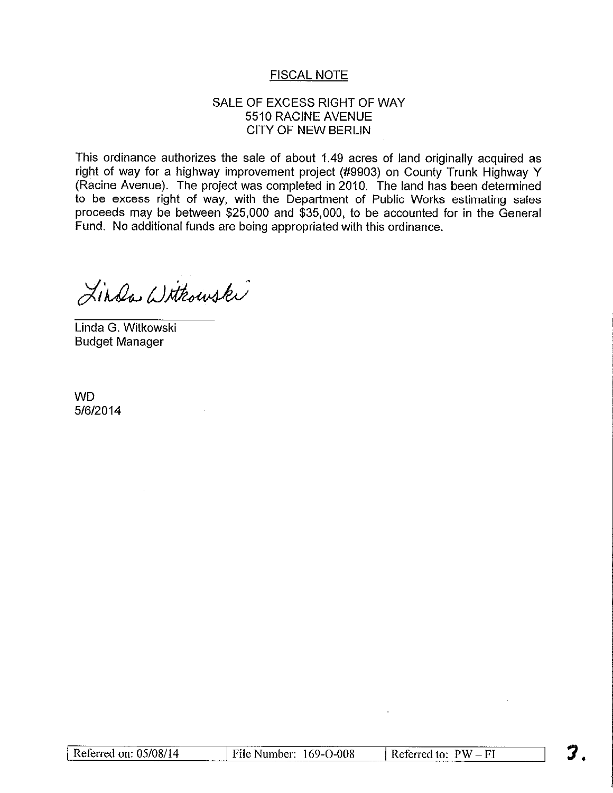# **FISCAL NOTE**

## SALE OF EXCESS RIGHT OF WAY 5510 RACINE AVENUE **CITY OF NEW BERLIN**

This ordinance authorizes the sale of about 1.49 acres of land originally acquired as right of way for a highway improvement project (#9903) on County Trunk Highway Y (Racine Avenue). The project was completed in 2010. The land has been determined to be excess right of way, with the Department of Public Works estimating sales proceeds may be between \$25,000 and \$35,000, to be accounted for in the General Fund. No additional funds are being appropriated with this ordinance.

Linda Withowski

Linda G. Witkowski **Budget Manager** 

**WD** 5/6/2014

|                       |                        | ----------------- |                           |  |
|-----------------------|------------------------|-------------------|---------------------------|--|
| Referred on: 05/08/14 | File Number: 169-O-008 |                   | $PW - FI$<br>Referred to: |  |
|                       |                        |                   |                           |  |